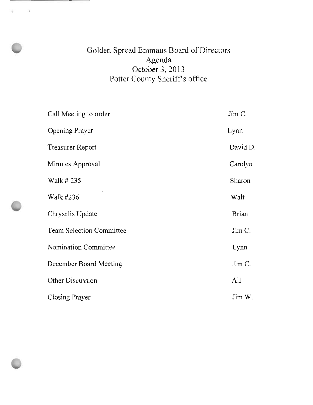# Golden Spread Emmaus Board of Directors Agenda October 3, 2013 Potter County Sheriff's office

and the contract of the contract of

| Call Meeting to order           | Jim C.       |
|---------------------------------|--------------|
| Opening Prayer                  | Lynn         |
| <b>Treasurer Report</b>         | David D.     |
| Minutes Approval                | Carolyn      |
| Walk # 235                      | Sharon       |
| Walk #236                       | Walt         |
| Chrysalis Update                | <b>Brian</b> |
| <b>Team Selection Committee</b> | Jim C.       |
| Nomination Committee            | Lynn         |
| December Board Meeting          | Jim C.       |
| Other Discussion                | All          |
| Closing Prayer                  | Jim W.       |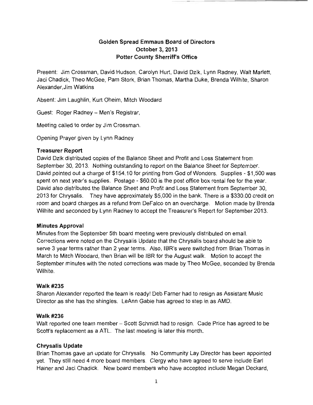# **Golden Spread Emmaus Board of Directors October 3, 2013 Potter County Sherriffs Office**

Present: Jim Crossman, David Hudson, Carolyn Hurt, David Dzik, Lynn Radney, Walt Marlett, Jaci Chadick, Theo McGee, Pam Stork, Brian Thomas, Martha Duke, Brenda Wilhite, Sharon Alexander,Jim Watkins

Absent: Jim Laughlin, Kurt Oheim, Mitch Woodard

Guest: Roger Radney - Men's Registrar,

Meeting called to order by Jim Crossman.

Opening Prayer given by Lynn Radney

#### **Treasurer Report**

David Dzik distributed copies of the Balance Sheet and Profit and Loss Statement from September 30, 2013. Nothing outstanding to report on the Balance Sheet for September. David pointed out a charge of \$154.10 for printing from God of Wonders. Supplies - \$1,500 was spent on next year's supplies. Postage - \$60.00 is the post office box rental fee for the year. David also distributed the Balance Sheet and Profit and Loss Statement from September 30, 2013 for Chrysalis. They have approximately \$5,000 in the bank. There is a \$330.00 credit on room and board charges as a refund from DeFalco on an overcharge. Motion made by Brenda Wilhite and seconded by Lynn Radney to accept the Treasurer's Report for September 2013.

#### **Minutes Approval**

Minutes from the September 5th board meeting were previously distributed on email. Corrections were noted on the Chrysalis Update that the Chrysalis board should be able to serve 3 year terms rather than 2 year terms. Also, IBR's were switched from Brian Thomas in March to Mitch Woodard, then Brian will be IBR for the August walk. Motion to accept the September minutes with the noted corrections was made by Theo McGee, seconded by Brenda Wilhite.

#### Walk #235

Sharon Alexander reported the team is ready' Deb Farner had to resign as Assistant Music Director as she has the shingles. LeAnn Gable has agreed to step in as AMD.

#### **Walk #236**

Walt reported one team member - Scott Schmidt had to resign. Cade Price has agreed to be Scott's replacement as a ATL. The last meeting is later this month.

#### **Chrysalis Update**

Brian Thomas gave an update for Chrysalis. No Community Lay Director has been appointed yet. They still need 4 more board members. Clergy who have agreed to serve include Earl Hainer and Jaci Chadick. New board members who have accepted include Megan Deckard,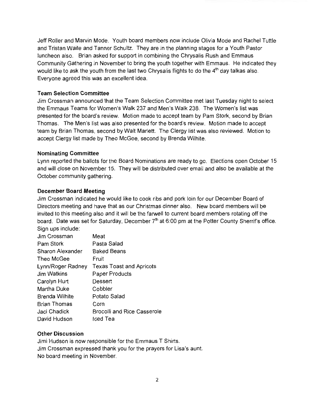Jeff Roller and Marvin Mode. Youth board members now include Olivia Mode and Rachel Tuttle and Tristan Waite and Tanner Schultz. They are in the planning stages for a Youth Pastor luncheon also. Brian asked for support in combining the Chrysalis Rush and Emmaus Community Gathering in November to bring the youth together with Emmaus. He indicated they would like to ask the youth from the last two Chrysalis flights to do the  $4<sup>th</sup>$  day talkas also. Everyone agreed this was an excellent idea.

# **Team Selection Committee**

Jim Crossman announced that the Team Selection Committee met last Tuesday night to select the Emmaus Teams for Women's Walk 237 and Men's Walk 238. The Women's list was presented for the board's review. Motion made to accept team by Pam Stork, second by Brian Thomas. The Men's list was also presented for the board's review. Motion made to accept team by Brian Thomas, second by Walt Marlett. The Clergy list was also reviewed. Motion to accept Clergy list made by Theo McGee, second by Brenda Wilhite.

### **Nominating Committee**

Lynn reported the ballots for the Board Nominations are ready to go. Elections open October 15 and will close on November 15. They will be distributed over email and also be available at the October community gathering.

### **December Board Meeting**

Jim Crossman indicated he would like to cook ribs and pork loin for our December Board of Directors meeting and have that as our Christmas dinner also. New board members will be invited to this meeting also and it will be the farwell to current board members rotating off the board. Date was set for Saturday, December  $7<sup>th</sup>$  at 6:00 pm at the Potter County Sherrif's office. Sign ups include:

| Jim Crossman          | Meat                            |
|-----------------------|---------------------------------|
| Pam Stork             | Pasta Salad                     |
| Sharon Alexander      | <b>Baked Beans</b>              |
| Theo McGee            | Fruit                           |
| Lynn/Roger Radney     | <b>Texas Toast and Apricots</b> |
| Jim Watkins           | Paper Products                  |
| Carolyn Hurt          | Dessert                         |
| Martha Duke           | Cobbler                         |
| <b>Brenda Wilhite</b> | Potato Salad                    |
| <b>Brian Thomas</b>   | Corn                            |
| Jaci Chadick          | Brocolli and Rice Casserole     |
| David Hudson          | Iced Tea                        |

# **Other Discussion**

Jimi Hudson is now responsible for the Emmaus T Shirts. Jim Crossman expressed thank you for the prayers for Lisa's aunt. No board meeting in November.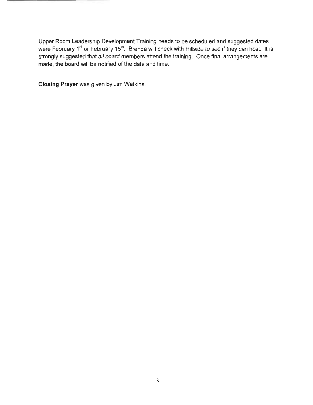Upper Room Leadership Development Training needs to be scheduled and suggested dates were February 1<sup>st</sup> or February 15<sup>th</sup>. Brenda will check with Hillside to see if they can host. It is strongly suggested that all board members attend the training. Once final arrangements are made, the board will be notified of the date and time.

**Closing Prayer** was given by Jim Watkins.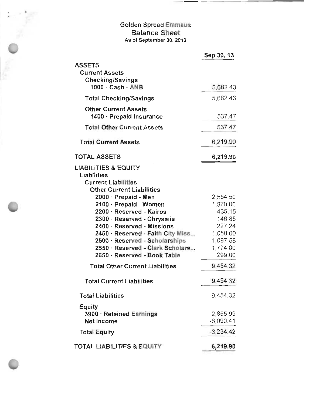# Golden Spread Emma Balance Shee As of September 30, 2013

|                                                                                                                  | Sep 30, 13              |
|------------------------------------------------------------------------------------------------------------------|-------------------------|
| <b>ASSETS</b><br><b>Current Assets</b><br><b>Checking/Savings</b>                                                |                         |
| 1000 · Cash - ANB                                                                                                | 5.682.43                |
| <b>Total Checking/Savings</b>                                                                                    | 5,682.43                |
| <b>Other Current Assets</b><br>1400 · Prepaid Insurance                                                          | 537.47                  |
| <b>Total Other Current Assets</b>                                                                                | 537.47                  |
| <b>Total Current Assets</b>                                                                                      | 6,219.90                |
| <b>TOTAL ASSETS</b>                                                                                              | 6,219.90                |
| <b>LIABILITIES &amp; EQUITY</b><br>Liabilities<br><b>Current Liabilities</b><br><b>Other Current Liabilities</b> |                         |
| 2000 · Prepaid - Men                                                                                             | 2,554.50                |
| 2100 · Prepaid - Women                                                                                           | 1,870.00                |
| 2200 · Reserved - Kairos                                                                                         | 435.15                  |
| 2300 · Reserved - Chrysalis                                                                                      | 146.85                  |
| 2400 · Reserved - Missions                                                                                       | 227.24                  |
| 2450 · Reserved - Faith City Miss                                                                                | 1,050.00                |
| 2500 · Reserved - Scholarships                                                                                   | 1,097.58                |
| 2550 · Reserved - Clark Scholars                                                                                 | 1,774.00                |
| 2650 · Reserved - Book Table                                                                                     | 299.00                  |
| <b>Total Other Current Liabilities</b>                                                                           | 9,454.32                |
| Total Current Liabilities                                                                                        | 9,454.32                |
| <b>Total Liabilities</b>                                                                                         | 9,454.32                |
| Equity<br>3900 · Retained Earnings<br>Net Income                                                                 | 2,855.99<br>$-6,090.41$ |
| <b>Total Equity</b>                                                                                              | $-3.234.42$             |
| <b>TOTAL LIABILITIES &amp; EQUITY</b>                                                                            | 6,219.90                |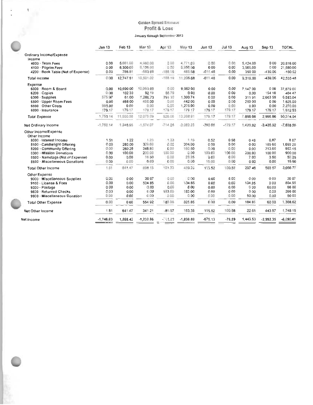#### Golden Spread Emmaus Profit & Loss

#### January through September 2013

|                                                           |                                |                     |                       | Golden Spread Emmaus |                    |                  |             |                  |                |                     |
|-----------------------------------------------------------|--------------------------------|---------------------|-----------------------|----------------------|--------------------|------------------|-------------|------------------|----------------|---------------------|
|                                                           |                                |                     |                       | Profit & Loss        |                    |                  |             |                  |                |                     |
|                                                           | January through September 2013 |                     |                       |                      |                    |                  |             |                  |                |                     |
|                                                           | <b>Jan 13</b>                  | Feb 13              | Mar 13                | Apr 13               | May 13             | Jun 13           | $J$ ul 13   | Aug 13           | Sep 13         | TOTAL               |
| Ordinary Income/Expense<br>Income                         |                                |                     |                       |                      |                    |                  |             |                  |                |                     |
| 4000 · Team Fees                                          | 000                            | 5,661.00            | 4,960.00              | 0.00                 | 4.771.00           | 0.00             | 0.00        | 5.424.00         | 000            | 20,816.00           |
| 4100 · Pilgrim Fees<br>4200 · Book Table (Net of Expense) | 000<br>0 <sub>0</sub>          | 6,300.00<br>786.51  | 6,125.00<br>$-583.98$ | 0.00<br>$-188.19$    | 5,950.00<br>485.68 | 000<br>$-611.48$ | 0.00        | 3,505.00         | 000            | 21,880.00           |
|                                                           |                                |                     |                       |                      |                    |                  | 0.00        | 390 00           | $-439.06$      | $-160.52$           |
| Total Income                                              | 0.00                           | 12,747.51           | 10.501.02             | $-188.19$            | 11,206.68          | $-61148$         | 0.00        | 9,319.00         | $-439.06$      | 42,535 48           |
| Expense<br>6000 · Room & Board<br>$6200 \cdot C$ opies    | 0.00<br>0.00                   | 10,690 00<br>102 39 | 10,060.00<br>92.19    | 0.00<br>56.79        | 9,982 00<br>0.00   | 000<br>0.00      | 0.00<br>000 | 7,147 00<br>0.00 | 0 00<br>154 10 | 37,879 00<br>404 47 |
| $6300 \cdot$ Supplies                                     | 575.97                         | 61.00               | 1,288.73              | 29110                | 1,390.74           | 0.00             | 0.00        | 31191            | 2.663 59       | 6,583.04            |
| 6500 · Upper Room Fees                                    | 0.00                           | 468 00              | 455.00                | 0.00                 | 442.00             | 0.00             | 0.00        | 260 00           | 000            | 1,625.00            |
| 6600 Other Costs                                          | 995.00                         | 0.00                | 0.00                  | 0.00                 | 1,275 00           | 0.00             | 0.00        | 0.00             | 0.00           | 2.270.00            |
| 6800 - Insurance                                          | 179.17                         | 179.17              | 179.17                | 179.17               | 179 17             | 179.17           | 179.17      | 179 17           | 179 17         | 1.512.53            |
| Total Expense                                             | 1,750.14                       | 11.500.58           | 12:075:09             | 526.06               | 13,268.91          | 179.17           | 179.17      | 789808           | 2,996.86       | 50,374.04           |
| Net Ordinary Income                                       | $-1,750.14$                    | 1,245,95            | $-1,574.07$           | $-714.25$            | -2:062.23          | $-790.85$        | $-179.17$   | 1.420.92         | $-3,435.92$    | $-7.838.56$         |
| Other Income/Expense                                      |                                |                     |                       |                      |                    |                  |             |                  |                |                     |
| Other Income<br>8000 - Interest Income                    | 151                            | 1.22                | 1.23                  | 1.33                 | 1.15               | 0.52             | 0.58        |                  | 0.87           | 887                 |
| 8100 - Candlelight Offering                               | 0.00                           | 280 00              | 329.60                | 0.00                 | 304.00             | 0.90             | 000         | 046<br>000       | 185 60         | 1,099 20            |
| 8200 Community Offering                                   | 0.00                           | 260 25              | 348.80                | 0.00                 | 160.80             | 0.00             | 0.00        | 0.00             | 213.60         | 983.45              |
| 8300 Mission Donations                                    | 0.00                           | 100.00              | 200.00                | 100.00               | 0.00               | 100.00           | 100.00      | 200.00           | 100.00         | 900.00              |
| 8500 · Nametags (Net of Expense)                          | 0.00                           | 0.00                | 16.50                 | 0.00                 | 23.25              | 0.00             | C.00        | 7 00             | 350            | 50.25               |
| 8600 · Miscellaneous Donations                            | 0.00                           | 0.00                | 0.00                  | 0.00                 | 0.00               | 15.00            | 0.00        | 000              | 0.00           | 15.00               |
| Total Other Income                                        | 1.51                           | 641.47              | 896.13                | 101.33               | 489 20             | 115.52           | 100.58      | 207 46           | 503 57         | 3,056 77            |
| Other Expense                                             |                                |                     |                       |                      |                    |                  |             |                  |                |                     |
| 9000 · Míscellaneous Supplies                             | 0.00                           | 0.00                | 20 07                 | 0.00                 | 0.00               | 0.00             | 0.00        | 000              | 000            | 20 07               |
| 9100 · License & Fees                                     | 0.00                           | 0.00                | 534 85                | 0.00                 | 134 85             | 0.00             | 0.00        | 134.85           | 000            | 804.55              |
| 9300 · Postage                                            | 0.00                           | 000                 | 0.00                  | 0.00                 | 8 0 0              | 0.00             | 0.00        | 000              | 60.00          | 68 00               |
| 9800 - Returned Checks                                    | 0.00                           | 0.00                | 0.00                  | 183.00               | 183 00             | 0.00             | 0.00        | 0 00             | 0.00           | 366 00              |
| 9900 - Miscellaneous Donation                             | 0.00                           | 0.00                | 0.00                  | 0.00                 | 0.00               | 0.00             | 0.00        | 50.00            | 0.00           | 50 00               |
| <b>Total Other Expense</b>                                | 0.00                           | 000                 | 554 92                | 183.00               | 325.85             | 0.00             | 0.00        | 184 85           | 6000           | 1.308.62            |
| Net Other Income                                          | 1.51                           | 641.47              | 34121                 | $-81.67$             | 163.35             | 115.52           | 100.58      | 2261             | 443 57         | 174815              |
| Net Income                                                | $-1,748.63$                    | 1,888.42            | $-1,232.86$           | $-55.92$             | $-1,898.88$        | $-675.13$        | $-78.59$    | 1,443.53         | $-2,992.35$    | $-6,090.41$         |
|                                                           |                                |                     |                       |                      |                    |                  |             |                  |                |                     |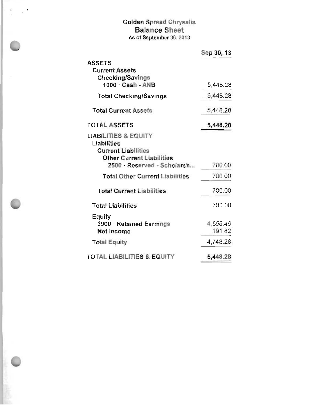# Golden Spread Chrysalis<br>Balance Sheet As of September 30, 2013

 $\frac{1}{2}$ 

 $\sim$   $\sim$ 

|                                                                                                                  | Sep 30, 13         |
|------------------------------------------------------------------------------------------------------------------|--------------------|
| <b>ASSETS</b><br><b>Current Assets</b><br><b>Checking/Savings</b>                                                |                    |
| $1000 \cdot$ Cash - ANB                                                                                          | 5,448.28           |
| <b>Total Checking/Savings</b>                                                                                    | 5,448.28           |
| <b>Total Current Assets</b>                                                                                      | 5.448.28           |
| <b>TOTAL ASSETS</b>                                                                                              | 5,448.28           |
| <b>LIABILITIES &amp; EQUITY</b><br>Liabilities<br><b>Current Liabilities</b><br><b>Other Current Liabilities</b> |                    |
| 2500 · Reserved · Scholarsh                                                                                      | 700.00             |
| <b>Total Other Current Liabilities</b>                                                                           | 700.00             |
| <b>Total Current Liabilities</b>                                                                                 | 700.00             |
| <b>Total Liabilities</b>                                                                                         | 700.00             |
| Equity<br>3900 · Retained Earnings<br>Net Income                                                                 | 4,556.46<br>191.82 |
| <b>Total Equity</b>                                                                                              | 4,748.28           |
| <b>TOTAL LIABILITIES &amp; EQUITY</b>                                                                            | 5,448.28           |